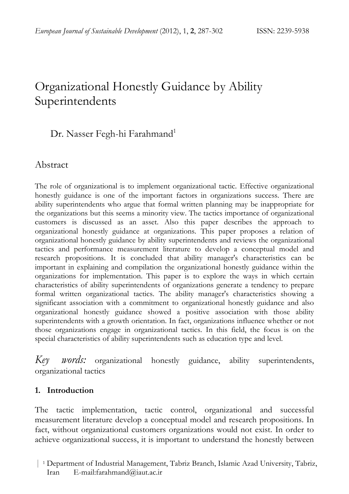# Organizational Honestly Guidance by Ability Superintendents

# Dr. Nasser Fegh-hi Farahmand<sup>1</sup>

## Abstract

The role of organizational is to implement organizational tactic. Effective organizational honestly guidance is one of the important factors in organizations success. There are ability superintendents who argue that formal written planning may be inappropriate for the organizations but this seems a minority view. The tactics importance of organizational customers is discussed as an asset. Also this paper describes the approach to organizational honestly guidance at organizations. This paper proposes a relation of organizational honestly guidance by ability superintendents and reviews the organizational tactics and performance measurement literature to develop a conceptual model and research propositions. It is concluded that ability manager's characteristics can be important in explaining and compilation the organizational honestly guidance within the organizations for implementation. This paper is to explore the ways in which certain characteristics of ability superintendents of organizations generate a tendency to prepare formal written organizational tactics. The ability manager's characteristics showing a significant association with a commitment to organizational honestly guidance and also organizational honestly guidance showed a positive association with those ability superintendents with a growth orientation. In fact, organizations influence whether or not those organizations engage in organizational tactics. In this field, the focus is on the special characteristics of ability superintendents such as education type and level.

*Key words:* organizational honestly guidance, ability superintendents, organizational tactics

#### **1.** Introduction

The tactic implementation, tactic control, organizational and successful measurement literature develop a conceptual model and research propositions. In fact, without organizational customers organizations would not exist. In order to achieve organizational success, it is important to understand the honestly between

 <sup>|</sup> <sup>1</sup> Department of Industrial Management, Tabriz Branch, Islamic Azad University, Tabriz, Iran E-mail:farahmand@iaut.ac.ir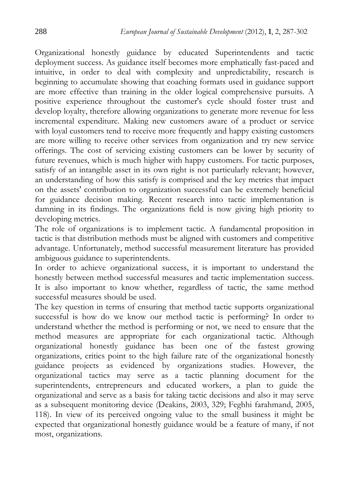Organizational honestly guidance by educated Superintendents and tactic deployment success. As guidance itself becomes more emphatically fast-paced and intuitive, in order to deal with complexity and unpredictability, research is beginning to accumulate showing that coaching formats used in guidance support are more effective than training in the older logical comprehensive pursuits. A positive experience throughout the customer's cycle should foster trust and develop loyalty, therefore allowing organizations to generate more revenue for less incremental expenditure. Making new customers aware of a product or service with loyal customers tend to receive more frequently and happy existing customers are more willing to receive other services from organization and try new service offerings. The cost of servicing existing customers can be lower by security of future revenues, which is much higher with happy customers. For tactic purposes, satisfy of an intangible asset in its own right is not particularly relevant; however, an understanding of how this satisfy is comprised and the key metrics that impact on the assets' contribution to organization successful can be extremely beneficial for guidance decision making. Recent research into tactic implementation is damning in its findings. The organizations field is now giving high priority to developing metrics.

The role of organizations is to implement tactic. A fundamental proposition in tactic is that distribution methods must be aligned with customers and competitive advantage. Unfortunately, method successful measurement literature has provided ambiguous guidance to superintendents.

In order to achieve organizational success, it is important to understand the honestly between method successful measures and tactic implementation success. It is also important to know whether, regardless of tactic, the same method successful measures should be used.

The key question in terms of ensuring that method tactic supports organizational successful is how do we know our method tactic is performing? In order to understand whether the method is performing or not, we need to ensure that the method measures are appropriate for each organizational tactic. Although organizational honestly guidance has been one of the fastest growing organizations, critics point to the high failure rate of the organizational honestly guidance projects as evidenced by organizations studies. However, the organizational tactics may serve as a tactic planning document for the superintendents, entrepreneurs and educated workers, a plan to guide the organizational and serve as a basis for taking tactic decisions and also it may serve as a subsequent monitoring device (Deakins, 2003, 329; Feghhi farahmand, 2005, 118). In view of its perceived ongoing value to the small business it might be expected that organizational honestly guidance would be a feature of many, if not most, organizations.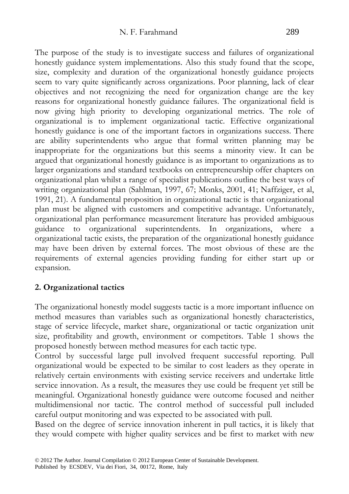The purpose of the study is to investigate success and failures of organizational honestly guidance system implementations. Also this study found that the scope, size, complexity and duration of the organizational honestly guidance projects seem to vary quite significantly across organizations. Poor planning, lack of clear objectives and not recognizing the need for organization change are the key reasons for organizational honestly guidance failures. The organizational field is now giving high priority to developing organizational metrics. The role of organizational is to implement organizational tactic. Effective organizational honestly guidance is one of the important factors in organizations success. There are ability superintendents who argue that formal written planning may be inappropriate for the organizations but this seems a minority view. It can be argued that organizational honestly guidance is as important to organizations as to larger organizations and standard textbooks on entrepreneurship offer chapters on organizational plan whilst a range of specialist publications outline the best ways of writing organizational plan (Sahlman, 1997, 67; Monks, 2001, 41; Naffziger, et al, 1991, 21). A fundamental proposition in organizational tactic is that organizational plan must be aligned with customers and competitive advantage. Unfortunately, organizational plan performance measurement literature has provided ambiguous guidance to organizational superintendents. In organizations, where a organizational tactic exists, the preparation of the organizational honestly guidance may have been driven by external forces. The most obvious of these are the requirements of external agencies providing funding for either start up or expansion.

#### **2. Organizational tactics**

The organizational honestly model suggests tactic is a more important influence on method measures than variables such as organizational honestly characteristics, stage of service lifecycle, market share, organizational or tactic organization unit size, profitability and growth, environment or competitors. Table 1 shows the proposed honestly between method measures for each tactic type.

Control by successful large pull involved frequent successful reporting. Pull organizational would be expected to be similar to cost leaders as they operate in relatively certain environments with existing service receivers and undertake little service innovation. As a result, the measures they use could be frequent yet still be meaningful. Organizational honestly guidance were outcome focused and neither multidimensional nor tactic. The control method of successful pull included careful output monitoring and was expected to be associated with pull.

Based on the degree of service innovation inherent in pull tactics, it is likely that they would compete with higher quality services and be first to market with new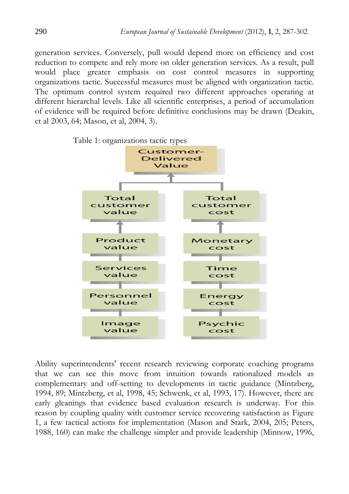generation services. Conversely, pull would depend more on efficiency and cost reduction to compete and rely more on older generation services. As a result, pull would place greater emphasis on cost control measures in supporting organizations tactic. Successful measures must be aligned with organization tactic. The optimum control system required two different approaches operating at different hierarchal levels. Like all scientific enterprises, a period of accumulation of evidence will be required before definitive conclusions may be drawn (Deakin, et al 2003, 64; Mason, et al, 2004, 3).



Ability superintendents' recent research reviewing corporate coaching programs that we can see this move from intuition towards rationalized models as complementary and off-setting to developments in tactic guidance (Mintzberg, 1994, 89; Mintzberg, et al, 1998, 45; Schwenk, et al, 1993, 17). However, there are early gleanings that evidence based evaluation research is underway. For this reason by coupling quality with customer service recovering satisfaction as Figure 1, a few tactical actions for implementation (Mason and Stark, 2004, 205; Peters, 1988, 160) can make the challenge simpler and provide leadership (Minnow, 1996,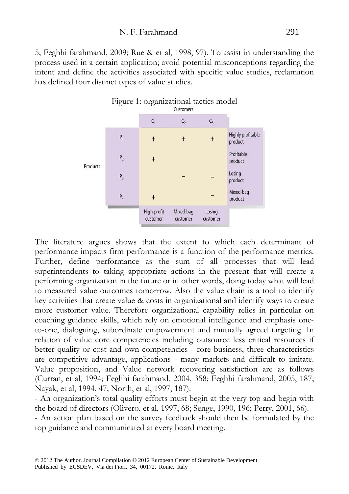5; Feghhi farahmand, 2009; Rue & et al, 1998, 97). To assist in understanding the process used in a certain application; avoid potential misconceptions regarding the intent and define the activities associated with specific value studies, reclamation has defined four distinct types of value studies.



The literature argues shows that the extent to which each determinant of performance impacts firm performance is a function of the performance metrics. Further, define performance as the sum of all processes that will lead superintendents to taking appropriate actions in the present that will create a performing organization in the future or in other words, doing today what will lead to measured value outcomes tomorrow. Also the value chain is a tool to identify key activities that create value & costs in organizational and identify ways to create more customer value. Therefore organizational capability relies in particular on coaching guidance skills, which rely on emotional intelligence and emphasis oneto-one, dialoguing, subordinate empowerment and mutually agreed targeting. In relation of value core competencies including outsource less critical resources if better quality or cost and own competencies - core business, three characteristics are competitive advantage, applications - many markets and difficult to imitate. Value proposition, and Value network recovering satisfaction are as follows (Curran, et al, 1994; Feghhi farahmand, 2004, 358; Feghhi farahmand, 2005, 187; Nayak, et al, 1994, 47; North, et al, 1997, 187):

- An organization's total quality efforts must begin at the very top and begin with the board of directors (Olivero, et al, 1997, 68; Senge, 1990, 196; Perry, 2001, 66).

- An action plan based on the survey feedback should then be formulated by the top guidance and communicated at every board meeting.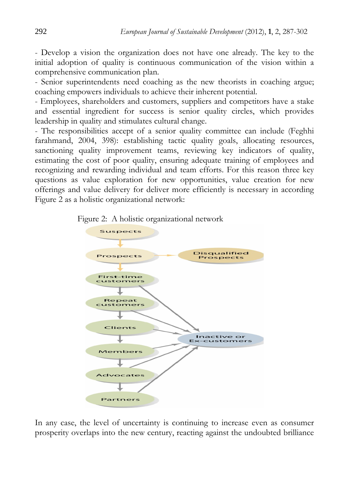- Develop a vision the organization does not have one already. The key to the initial adoption of quality is continuous communication of the vision within a comprehensive communication plan.

- Senior superintendents need coaching as the new theorists in coaching argue; coaching empowers individuals to achieve their inherent potential.

- Employees, shareholders and customers, suppliers and competitors have a stake and essential ingredient for success is senior quality circles, which provides leadership in quality and stimulates cultural change.

- The responsibilities accept of a senior quality committee can include (Feghhi farahmand, 2004, 398): establishing tactic quality goals, allocating resources, sanctioning quality improvement teams, reviewing key indicators of quality, estimating the cost of poor quality, ensuring adequate training of employees and recognizing and rewarding individual and team efforts. For this reason three key questions as value exploration for new opportunities, value creation for new offerings and value delivery for deliver more efficiently is necessary in according Figure 2 as a holistic organizational network:





In any case, the level of uncertainty is continuing to increase even as consumer prosperity overlaps into the new century, reacting against the undoubted brilliance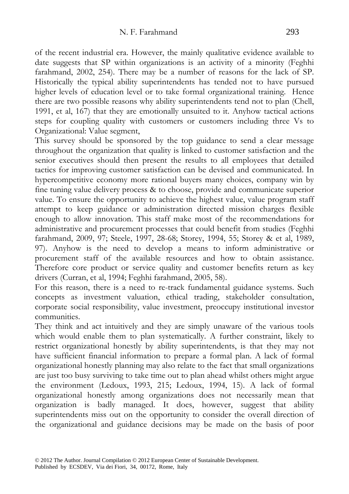of the recent industrial era. However, the mainly qualitative evidence available to date suggests that SP within organizations is an activity of a minority (Feghhi farahmand, 2002, 254). There may be a number of reasons for the lack of SP. Historically the typical ability superintendents has tended not to have pursued higher levels of education level or to take formal organizational training. Hence there are two possible reasons why ability superintendents tend not to plan (Chell, 1991, et al, 167) that they are emotionally unsuited to it. Anyhow tactical actions steps for coupling quality with customers or customers including three Vs to Organizational: Value segment,

This survey should be sponsored by the top guidance to send a clear message throughout the organization that quality is linked to customer satisfaction and the senior executives should then present the results to all employees that detailed tactics for improving customer satisfaction can be devised and communicated. In hypercompetitive economy more rational buyers many choices, company win by fine tuning value delivery process & to choose, provide and communicate superior value. To ensure the opportunity to achieve the highest value, value program staff attempt to keep guidance or administration directed mission charges flexible enough to allow innovation. This staff make most of the recommendations for administrative and procurement processes that could benefit from studies (Feghhi farahmand, 2009, 97; Steele, 1997, 28-68; Storey, 1994, 55; Storey & et al, 1989, 97). Anyhow is the need to develop a means to inform administrative or procurement staff of the available resources and how to obtain assistance. Therefore core product or service quality and customer benefits return as key drivers (Curran, et al, 1994; Feghhi farahmand, 2005, 58).

For this reason, there is a need to re-track fundamental guidance systems. Such concepts as investment valuation, ethical trading, stakeholder consultation, corporate social responsibility, value investment, preoccupy institutional investor communities.

They think and act intuitively and they are simply unaware of the various tools which would enable them to plan systematically. A further constraint, likely to restrict organizational honestly by ability superintendents, is that they may not have sufficient financial information to prepare a formal plan. A lack of formal organizational honestly planning may also relate to the fact that small organizations are just too busy surviving to take time out to plan ahead whilst others might argue the environment (Ledoux, 1993, 215; Ledoux, 1994, 15). A lack of formal organizational honestly among organizations does not necessarily mean that organization is badly managed. It does, however, suggest that ability superintendents miss out on the opportunity to consider the overall direction of the organizational and guidance decisions may be made on the basis of poor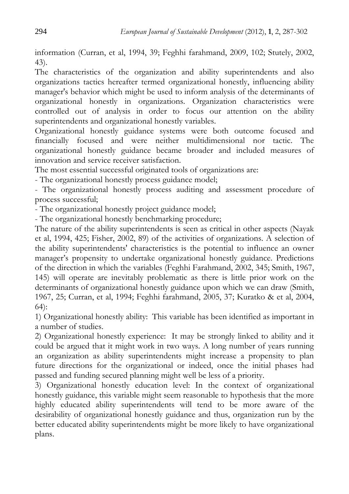information (Curran, et al, 1994, 39; Feghhi farahmand, 2009, 102; Stutely, 2002, 43).

The characteristics of the organization and ability superintendents and also organizations tactics hereafter termed organizational honestly, influencing ability manager's behavior which might be used to inform analysis of the determinants of organizational honestly in organizations. Organization characteristics were controlled out of analysis in order to focus our attention on the ability superintendents and organizational honestly variables.

Organizational honestly guidance systems were both outcome focused and financially focused and were neither multidimensional nor tactic. The organizational honestly guidance became broader and included measures of innovation and service receiver satisfaction.

The most essential successful originated tools of organizations are:

- The organizational honestly process guidance model;

- The organizational honestly process auditing and assessment procedure of process successful;

- The organizational honestly project guidance model;

- The organizational honestly benchmarking procedure;

The nature of the ability superintendents is seen as critical in other aspects (Nayak et al, 1994, 425; Fisher, 2002, 89) of the activities of organizations. A selection of the ability superintendents' characteristics is the potential to influence an owner manager's propensity to undertake organizational honestly guidance. Predictions of the direction in which the variables (Feghhi Farahmand, 2002, 345; Smith, 1967, 145) will operate are inevitably problematic as there is little prior work on the determinants of organizational honestly guidance upon which we can draw (Smith, 1967, 25; Curran, et al, 1994; Feghhi farahmand, 2005, 37; Kuratko & et al, 2004, 64):

1) Organizational honestly ability: This variable has been identified as important in a number of studies.

2) Organizational honestly experience: It may be strongly linked to ability and it could be argued that it might work in two ways. A long number of years running an organization as ability superintendents might increase a propensity to plan future directions for the organizational or indeed, once the initial phases had passed and funding secured planning might well be less of a priority.

3) Organizational honestly education level: In the context of organizational honestly guidance, this variable might seem reasonable to hypothesis that the more highly educated ability superintendents will tend to be more aware of the desirability of organizational honestly guidance and thus, organization run by the better educated ability superintendents might be more likely to have organizational plans.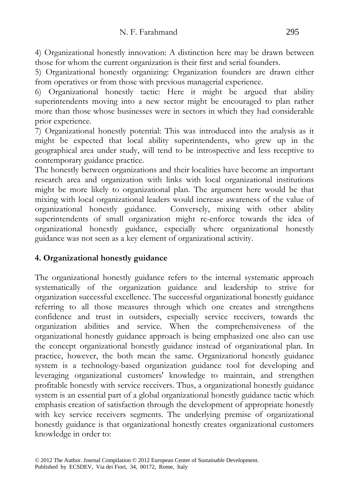4) Organizational honestly innovation: A distinction here may be drawn between those for whom the current organization is their first and serial founders.

5) Organizational honestly organizing: Organization founders are drawn either from operatives or from those with previous managerial experience.

6) Organizational honestly tactic: Here it might be argued that ability superintendents moving into a new sector might be encouraged to plan rather more than those whose businesses were in sectors in which they had considerable prior experience.

7) Organizational honestly potential: This was introduced into the analysis as it might be expected that local ability superintendents, who grew up in the geographical area under study, will tend to be introspective and less receptive to contemporary guidance practice.

The honestly between organizations and their localities have become an important research area and organization with links with local organizational institutions might be more likely to organizational plan. The argument here would be that mixing with local organizational leaders would increase awareness of the value of organizational honestly guidance. Conversely, mixing with other ability superintendents of small organization might re-enforce towards the idea of organizational honestly guidance, especially where organizational honestly guidance was not seen as a key element of organizational activity.

#### **4. Organizational honestly guidance**

The organizational honestly guidance refers to the internal systematic approach systematically of the organization guidance and leadership to strive for organization successful excellence. The successful organizational honestly guidance referring to all those measures through which one creates and strengthens confidence and trust in outsiders, especially service receivers, towards the organization abilities and service. When the comprehensiveness of the organizational honestly guidance approach is being emphasized one also can use the concept organizational honestly guidance instead of organizational plan. In practice, however, the both mean the same. Organizational honestly guidance system is a technology-based organization guidance tool for developing and leveraging organizational customers' knowledge to maintain, and strengthen profitable honestly with service receivers. Thus, a organizational honestly guidance system is an essential part of a global organizational honestly guidance tactic which emphasis creation of satisfaction through the development of appropriate honestly with key service receivers segments. The underlying premise of organizational honestly guidance is that organizational honestly creates organizational customers knowledge in order to: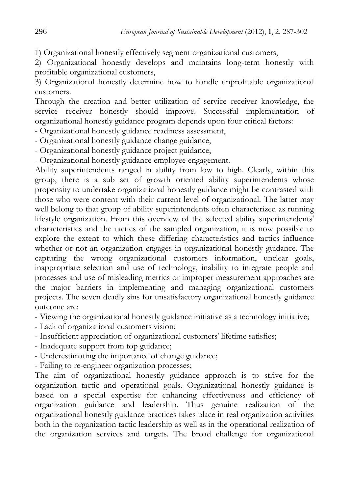1) Organizational honestly effectively segment organizational customers,

2) Organizational honestly develops and maintains long-term honestly with profitable organizational customers,

3) Organizational honestly determine how to handle unprofitable organizational customers.

Through the creation and better utilization of service receiver knowledge, the service receiver honestly should improve. Successful implementation of organizational honestly guidance program depends upon four critical factors:

- Organizational honestly guidance readiness assessment,

- Organizational honestly guidance change guidance,

- Organizational honestly guidance project guidance,

- Organizational honestly guidance employee engagement.

Ability superintendents ranged in ability from low to high. Clearly, within this group, there is a sub set of growth oriented ability superintendents whose propensity to undertake organizational honestly guidance might be contrasted with those who were content with their current level of organizational. The latter may well belong to that group of ability superintendents often characterized as running lifestyle organization. From this overview of the selected ability superintendents' characteristics and the tactics of the sampled organization, it is now possible to explore the extent to which these differing characteristics and tactics influence whether or not an organization engages in organizational honestly guidance. The capturing the wrong organizational customers information, unclear goals, inappropriate selection and use of technology, inability to integrate people and processes and use of misleading metrics or improper measurement approaches are the major barriers in implementing and managing organizational customers projects. The seven deadly sins for unsatisfactory organizational honestly guidance outcome are:

- Viewing the organizational honestly guidance initiative as a technology initiative;

- Lack of organizational customers vision;

- Insufficient appreciation of organizational customers' lifetime satisfies;

- Inadequate support from top guidance;

- Underestimating the importance of change guidance;

- Failing to re-engineer organization processes;

The aim of organizational honestly guidance approach is to strive for the organization tactic and operational goals. Organizational honestly guidance is based on a special expertise for enhancing effectiveness and efficiency of organization guidance and leadership. Thus genuine realization of the organizational honestly guidance practices takes place in real organization activities both in the organization tactic leadership as well as in the operational realization of the organization services and targets. The broad challenge for organizational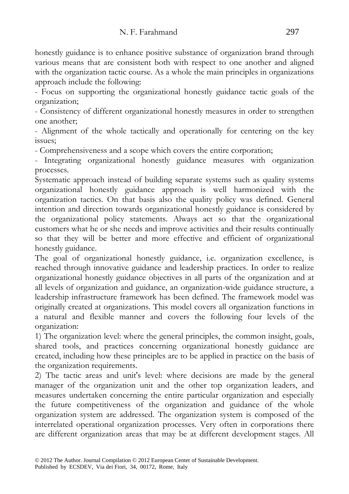honestly guidance is to enhance positive substance of organization brand through various means that are consistent both with respect to one another and aligned with the organization tactic course. As a whole the main principles in organizations approach include the following:

- Focus on supporting the organizational honestly guidance tactic goals of the organization;

- Consistency of different organizational honestly measures in order to strengthen one another;

- Alignment of the whole tactically and operationally for centering on the key issues;

- Comprehensiveness and a scope which covers the entire corporation;

- Integrating organizational honestly guidance measures with organization processes.

Systematic approach instead of building separate systems such as quality systems organizational honestly guidance approach is well harmonized with the organization tactics. On that basis also the quality policy was defined. General intention and direction towards organizational honestly guidance is considered by the organizational policy statements. Always act so that the organizational customers what he or she needs and improve activities and their results continually so that they will be better and more effective and efficient of organizational honestly guidance.

The goal of organizational honestly guidance, i.e. organization excellence, is reached through innovative guidance and leadership practices. In order to realize organizational honestly guidance objectives in all parts of the organization and at all levels of organization and guidance, an organization-wide guidance structure, a leadership infrastructure framework has been defined. The framework model was originally created at organizations. This model covers all organization functions in a natural and flexible manner and covers the following four levels of the organization:

1) The organization level: where the general principles, the common insight, goals, shared tools, and practices concerning organizational honestly guidance are created, including how these principles are to be applied in practice on the basis of the organization requirements.

2) The tactic areas and unit's level: where decisions are made by the general manager of the organization unit and the other top organization leaders, and measures undertaken concerning the entire particular organization and especially the future competitiveness of the organization and guidance of the whole organization system are addressed. The organization system is composed of the interrelated operational organization processes. Very often in corporations there are different organization areas that may be at different development stages. All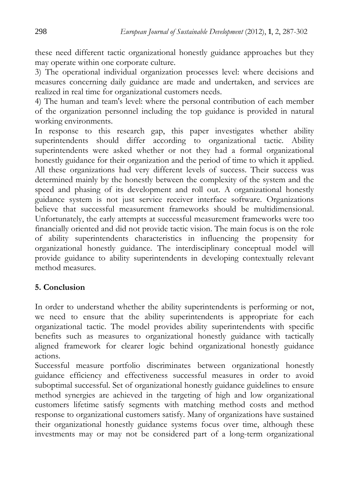these need different tactic organizational honestly guidance approaches but they may operate within one corporate culture.

3) The operational individual organization processes level: where decisions and measures concerning daily guidance are made and undertaken, and services are realized in real time for organizational customers needs.

4) The human and team's level: where the personal contribution of each member of the organization personnel including the top guidance is provided in natural working environments.

In response to this research gap, this paper investigates whether ability superintendents should differ according to organizational tactic. Ability superintendents were asked whether or not they had a formal organizational honestly guidance for their organization and the period of time to which it applied. All these organizations had very different levels of success. Their success was determined mainly by the honestly between the complexity of the system and the speed and phasing of its development and roll out. A organizational honestly guidance system is not just service receiver interface software. Organizations believe that successful measurement frameworks should be multidimensional. Unfortunately, the early attempts at successful measurement frameworks were too financially oriented and did not provide tactic vision. The main focus is on the role of ability superintendents characteristics in influencing the propensity for organizational honestly guidance. The interdisciplinary conceptual model will provide guidance to ability superintendents in developing contextually relevant method measures.

## **5. Conclusion**

In order to understand whether the ability superintendents is performing or not, we need to ensure that the ability superintendents is appropriate for each organizational tactic. The model provides ability superintendents with specific benefits such as measures to organizational honestly guidance with tactically aligned framework for clearer logic behind organizational honestly guidance actions.

Successful measure portfolio discriminates between organizational honestly guidance efficiency and effectiveness successful measures in order to avoid suboptimal successful. Set of organizational honestly guidance guidelines to ensure method synergies are achieved in the targeting of high and low organizational customers lifetime satisfy segments with matching method costs and method response to organizational customers satisfy. Many of organizations have sustained their organizational honestly guidance systems focus over time, although these investments may or may not be considered part of a long-term organizational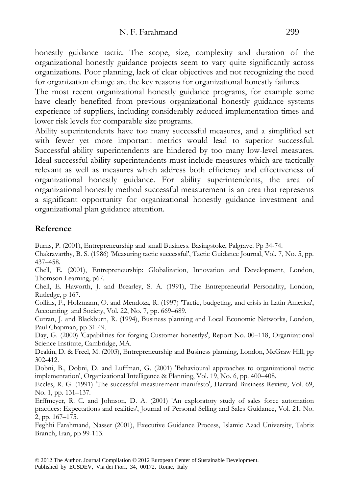honestly guidance tactic. The scope, size, complexity and duration of the organizational honestly guidance projects seem to vary quite significantly across organizations. Poor planning, lack of clear objectives and not recognizing the need for organization change are the key reasons for organizational honestly failures.

The most recent organizational honestly guidance programs, for example some have clearly benefited from previous organizational honestly guidance systems experience of suppliers, including considerably reduced implementation times and lower risk levels for comparable size programs.

Ability superintendents have too many successful measures, and a simplified set with fewer yet more important metrics would lead to superior successful. Successful ability superintendents are hindered by too many low-level measures. Ideal successful ability superintendents must include measures which are tactically relevant as well as measures which address both efficiency and effectiveness of organizational honestly guidance. For ability superintendents, the area of organizational honestly method successful measurement is an area that represents a significant opportunity for organizational honestly guidance investment and organizational plan guidance attention.

#### **Reference**

Burns, P. (2001), Entrepreneurship and small Business. Basingstoke, Palgrave. Pp 34-74.

Chakravarthy, B. S. (1986) 'Measuring tactic successful', Tactic Guidance Journal, Vol. 7, No. 5, pp. 437–458.

Chell, E. (2001), Entrepreneurship: Globalization, Innovation and Development, London, Thomson Learning, p67.

Chell, E. Haworth, J. and Brearley, S. A. (1991), The Entrepreneurial Personality, London, Rutledge, p 167.

Collins, F., Holzmann, O. and Mendoza, R. (1997) 'Tactic, budgeting, and crisis in Latin America', Accounting and Society, Vol. 22, No. 7, pp. 669–689.

Curran, J. and Blackburn, R. (1994), Business planning and Local Economic Networks, London, Paul Chapman, pp 31-49.

Day, G. (2000) 'Capabilities for forging Customer honestlys', Report No. 00–118, Organizational Science Institute, Cambridge, MA.

Deakin, D. & Freel, M. (2003), Entrepreneurship and Business planning, London, McGraw Hill, pp 302-412.

Dobni, B., Dobni, D. and Luffman, G. (2001) 'Behavioural approaches to organizational tactic implementation', Organizational Intelligence & Planning, Vol. 19, No. 6, pp. 400–408.

Eccles, R. G. (1991) 'The successful measurement manifesto', Harvard Business Review, Vol. 69, No. 1, pp. 131–137.

Erffmeyer, R. C. and Johnson, D. A. (2001) 'An exploratory study of sales force automation practices: Expectations and realities', Journal of Personal Selling and Sales Guidance, Vol. 21, No. 2, pp. 167–175.

Feghhi Farahmand, Nasser (2001), Executive Guidance Process, Islamic Azad University, Tabriz Branch, Iran, pp 99-113.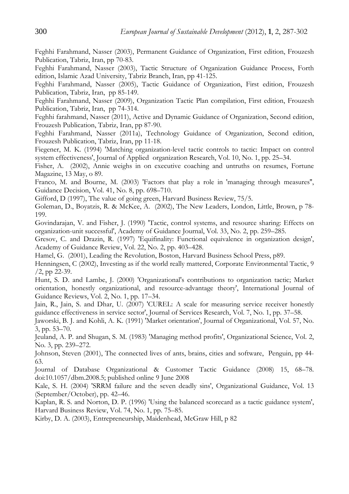Feghhi Farahmand, Nasser (2003), Permanent Guidance of Organization, First edition, Frouzesh Publication, Tabriz, Iran, pp 70-83.

Feghhi Farahmand, Nasser (2003), Tactic Structure of Organization Guidance Process, Forth edition, Islamic Azad University, Tabriz Branch, Iran, pp 41-125.

Feghhi Farahmand, Nasser (2005), Tactic Guidance of Organization, First edition, Frouzesh Publication, Tabriz, Iran, pp 85-149.

Feghhi Farahmand, Nasser (2009), Organization Tactic Plan compilation, First edition, Frouzesh Publication, Tabriz, Iran, pp 74-314.

Feghhi farahmand, Nasser (2011), Active and Dynamic Guidance of Organization, Second edition, Frouzesh Publication, Tabriz, Iran, pp 87-90.

Feghhi Farahmand, Nasser (2011a), Technology Guidance of Organization, Second edition, Frouzesh Publication, Tabriz, Iran, pp 11-18.

Fiegener, M. K. (1994) 'Matching organization-level tactic controls to tactic: Impact on control system effectiveness', Journal of Applied organization Research, Vol. 10, No. 1, pp. 25–34.

Fisher, A. (2002), Annie weighs in on executive coaching and untruths on resumes, Fortune Magazine, 13 May, o 89.

Franco, M. and Bourne, M. (2003) 'Factors that play a role in 'managing through measures'', Guidance Decision, Vol. 41, No. 8, pp. 698–710.

Gifford, D (1997), The value of going green, Harvard Business Review, 75/5.

Goleman, D., Boyatzis, R. & McKee, A. (2002), The New Leaders, London, Little, Brown, p 78- 199.

Govindarajan, V. and Fisher, J. (1990) 'Tactic, control systems, and resource sharing: Effects on organization-unit successful', Academy of Guidance Journal, Vol. 33, No. 2, pp. 259–285.

Gresov, C. and Drazin, R. (1997) 'Equifinality: Functional equivalence in organization design', Academy of Guidance Review, Vol. 22, No. 2, pp. 403–428.

Hamel, G. (2001), Leading the Revolution, Boston, Harvard Business School Press, p89.

Henningsen, C (2002), Investing as if the world really mattered, Corporate Environmental Tactic, 9 /2, pp 22-39.

Hunt, S. D. and Lambe, J. (2000) 'Organizational's contributions to organization tactic; Market orientation, honestly organizational, and resource-advantage theory', International Journal of Guidance Reviews, Vol. 2, No. 1, pp. 17–34.

Jain, R., Jain, S. and Dhar, U. (2007) 'CUREL: A scale for measuring service receiver honestly guidance effectiveness in service sector', Journal of Services Research, Vol. 7, No. 1, pp. 37–58.

Jaworski, B. J. and Kohli, A. K. (1991) 'Market orientation', Journal of Organizational, Vol. 57, No. 3, pp. 53–70.

Jeuland, A. P. and Shugan, S. M. (1983) 'Managing method profits', Organizational Science, Vol. 2, No. 3, pp. 239–272.

Johnson, Steven (2001), The connected lives of ants, brains, cities and software, Penguin, pp 44- 63.

Journal of Database Organizational & Customer Tactic Guidance (2008) 15, 68–78. doi:10.1057/dbm.2008.5; published online 9 June 2008

Kale, S. H. (2004) 'SRRM failure and the seven deadly sins', Organizational Guidance, Vol. 13 (September/October), pp. 42–46.

Kaplan, R. S. and Norton, D. P. (1996) 'Using the balanced scorecard as a tactic guidance system', Harvard Business Review, Vol. 74, No. 1, pp. 75–85.

Kirby, D. A. (2003), Entrepreneurship, Maidenhead, McGraw Hill, p 82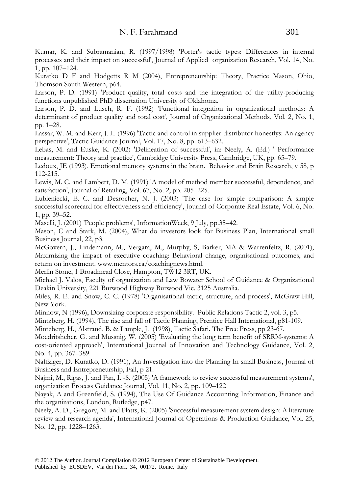Kumar, K. and Subramanian, R. (1997/1998) 'Porter's tactic types: Differences in internal processes and their impact on successful', Journal of Applied organization Research, Vol. 14, No. 1, pp. 107–124.

Kuratko D F and Hodgetts R M (2004), Entrepreneurship: Theory, Practice Mason, Ohio, Thomson South Western, p64.

Larson, P. D. (1991) 'Product quality, total costs and the integration of the utility-producing functions unpublished PhD dissertation University of Oklahoma.

Larson, P. D. and Lusch, R. F. (1992) 'Functional integration in organizational methods: A determinant of product quality and total cost', Journal of Organizational Methods, Vol. 2, No. 1, pp. 1–28.

Lassar, W. M. and Kerr, J. L. (1996) 'Tactic and control in supplier-distributor honestlys: An agency perspective', Tactic Guidance Journal, Vol. 17, No. 8, pp. 613–632.

Lebas, M. and Euske, K. (2002) 'Delineation of successful', in: Neely, A. (Ed.) ' Performance measurement: Theory and practice', Cambridge University Press, Cambridge, UK, pp. 65–79.

Ledoux, JE (1993), Emotional memory systems in the brain. Behavior and Brain Research, v 58, p 112-215.

Lewis, M. C. and Lambert, D. M. (1991) 'A model of method member successful, dependence, and satisfaction', Journal of Retailing, Vol. 67, No. 2, pp. 205–225.

Lubieniecki, E. C. and Desrocher, N. J. (2003) 'The case for simple comparison: A simple successful scorecard for effectiveness and efficiency', Journal of Corporate Real Estate, Vol. 6, No. 1, pp. 39–52.

Maselli, J. (2001) 'People problems', InformationWeek, 9 July, pp.35–42.

Mason, C and Stark, M. (2004), What do investors look for Business Plan, International small Business Journal, 22, p3.

McGovern, J., Lindemann, M., Vergara, M., Murphy, S, Barker, MA & Warrenfeltz, R. (2001), Maximizing the impact of executive coaching: Behavioral change, organisational outcomes, and return on investment. www.mentors.ca/coachingnews.html.

Merlin Stone, 1 Broadmead Close, Hampton, TW12 3RT, UK.

Michael J. Valos, Faculty of organization and Law Bowater School of Guidance & Organizational Deakin University, 221 Burwood Highway Burwood Vic. 3125 Australia.

Miles, R. E. and Snow, C. C. (1978) 'Organisational tactic, structure, and process', McGraw-Hill, New York.

Minnow, N (1996), Downsizing corporate responsibility. Public Relations Tactic 2, vol. 3, p5.

Mintzberg, H. (1994), The rise and fall of Tactic Planning, Prentice Hall International, p81-109.

Mintzberg, H., Alstrand, B. & Lample, J. (1998), Tactic Safari. The Free Press, pp 23-67.

Moedritshcher, G. and Mussnig, W. (2005) 'Evaluating the long term benefit of SRRM-systems: A cost-oriented approach', International Journal of Innovation and Technology Guidance, Vol. 2, No. 4, pp. 367–389.

Naffziger, D. Kuratko, D. (1991), An Investigation into the Planning In small Business, Journal of Business and Entrepreneurship, Fall, p 21.

Najmi, M., Rigas, J. and Fan, I. -S. (2005) 'A framework to review successful measurement systems', organization Process Guidance Journal, Vol. 11, No. 2, pp. 109–122

Nayak, A and Greenfield, S. (1994), The Use Of Guidance Accounting Information, Finance and the organizations, London, Rutledge, p47.

Neely, A. D., Gregory, M. and Platts, K. (2005) 'Successful measurement system design: A literature review and research agenda', International Journal of Operations & Production Guidance, Vol. 25, No. 12, pp. 1228–1263.